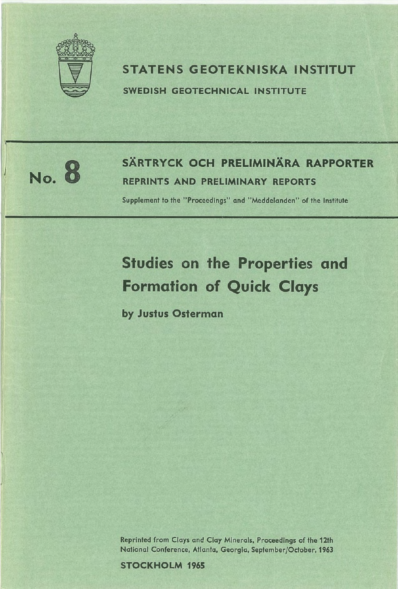

**STATENS GEOTEKNISKA INSTITUT** 

**SWEDISH GEOTECHNICAL INSTITUTE** 



## **SÄRTRYCK OCH PRELIMINÄRA RAPPORTER** No. 8 **BEPRINTS AND PRELIMINARA RAND**

Supplement to the " Proceedings" and "Meddelanden" of the Institute

# **Studies on the Properties and Formation of Quick Clays**

**by Justus Osterman** 

Reprinted from Clays and Clay Minerals, Proceedings of the 12th National Conference, Atlanta, Georgia, September/October, **1963** 

**STOCKHOLM 1965**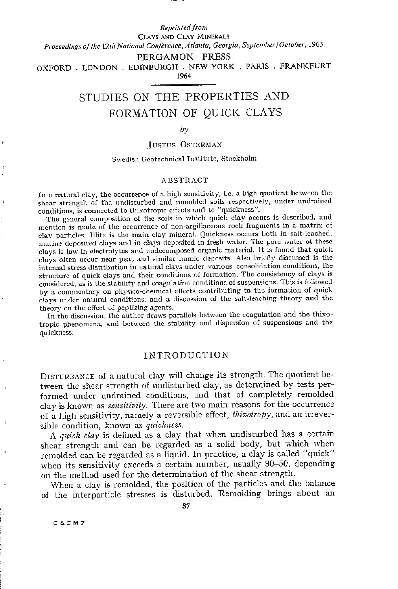## *Reprillted from*  CLAYS AND CLAY MINERALS *Proceedings ofthe 11th National Co11fere11ce, Atlanta, Georgia, September/October,* 1963 PERGAMON PRESS

 OXFORD . LONDON . EDINBURGH . NEW YORK . PARIS . FRANKFURT 1964

## STUDIES ON THE PROPERTIES AND FORMATION OF QUICK CLAYS

#### by

#### JUSTUS OSTERMAN

#### Swedish Geotechnical Institute, Stockholm

#### ABSTRACT

In a natural clay, the occurrence of a high sensitivity, i.e. a high quotient between the shear strength of the undisturbed and remolded soils respectively, under undrained conditions, is connected to thixotropic effects and to "quickness".

The general composition of the soils in which quick clay occurs is described, and mention is made of the occurrence of non-argillaceous rock fragments in a matrix of clay particles. Illite is the main day mineral. Quickness occurs both in salt-leached, marine deposited clays and in clays deposited in fresh water. The pore water of these clays is low in electrolytes and undecomposed organic material. It is found that quick clays often occur near peat and similar humic deposits. Also briefly discussed is the internal stress distribution in natural clays under various consolidation conditions, the structure of quick clays and their conditions of formation. The consistency of clays is considered, as is the stability and coagulation conditions of suspensions, This is followed by a commentary on physico-chemical effects contributing to the formation of quick clays under natural conditions, and a discussion of the salt-leaching theory and the theory on the effect of peptizing agents.

In the discussion, the author draws parallels between the coagulation and the thixotropic phenomena, and between the stability and dispersion of suspensions and the quickness.

#### INTRODUCTION

DISTURBANCE of a natural clay will change its strength. The quotient between the shear strength of undisturbed clay, as determined by tests performed under undrained conditions, and that of completely remolded clay is known as *sensitivity*. There are two main reasons for the occurrence of a high sensitivity, namely a reversible effect, *thixotropy,* and an irreversible condition, known as *quiclmess.* 

A *quich clay* is defined as a clay that when undisturbed has a certain shear strength and can be regarded as a solid body, but which when remolded can be regarded as a liquid. In practice, a clay is called "quick" when its sensitivity exceeds a certain number, usually 30-50, depending on the method used for the determination of the shear strength.

When a clay is remolded, the position of the particles and the balance of the interparticle stresses is disturbed. Remolding brings about an

87

C&C M7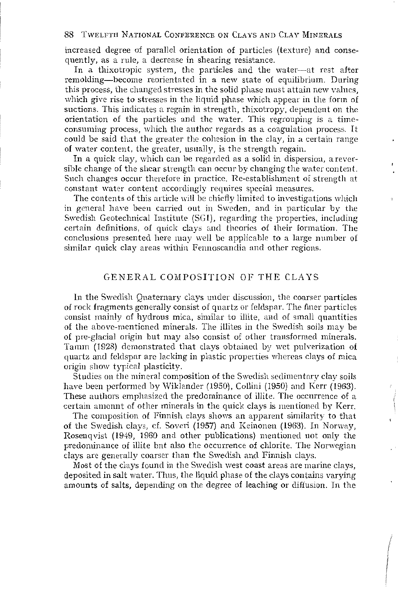increased degree of parallel orientation of particles (texture) and consequently, as a rule, a decrease in shearing resistance.

In a thixotropic system, the particles and the water-at rest after remolding-become reorientated in a new state of equilibrium. During this process, the changed stresses in the solid phase must attain new values, which give rise to stresses in the liquid phase which appear in the form of suctions. This indicates a regain in strength, thixotropy, dependent on the orientation of the particles and the water. This regrouping is a timeconsuming process, which the author regards as a coagulation process. It could be said that the greater the cohesion in the clay, in a certain range of water content, the greater, usually, is the strength regain.

In a quick clay, which can be regarded as a solid in dispersion, a reversible change of the shear strength can occur by changing the water content. Such changes occur therefore in practice. Re-establishment of strength at constant water content accordingly requires special measures.

The contents of this article will be chiefly limited to investigations which in general have been carried out in Sweden, and in particular by the Swedish Gcotcchnical Institute (SGI), regarding the properties, including certain definitions, of quick clays and theories of their formation. The conclusions presented here may well be applicable to a large number of similar quick clay areas within Fennoscandia and other regions.

#### GENERAL COMPOSITION OF THE CLAYS

In the Swedish Quaternary clays under discussion, the coarser particles of rock fragments generally consist of quartz or feldspar. The finer particles consist mainly of hydrous mica, similar to illite, and of small quantities of the above-mentioned minerals. The illites in the Swedish soils may be of pre-glacial origin but may also consist of other transformed minerals. Tamm (1928) demonstrated that clays obtained by wet pulverization of quartz and feldspar are lacking in plastic properties whereas clays of mica origin show typical plasticity.

Studies on the mineral composition of the Swedish sedimentary clay soils have been performed by Wiklander (1950), Collini (1950) and Kerr (1963). These authors emphasized the predominance of illite. The occurrence of a certain amount of other minerals in the quick clays is mentioned by Kerr.

The composition of Finnish clays shows an apparent similarity to that of the Swedish clays, cf. Soveri (1957) and Keinonen (1963). In Norway, Rosenqvist (1949, 1960 and other publications) mentioned not only the predominance of illite but also the occurrence of chlorite. The Norwegian clays are generally coarser than the Swedish and Finnish clays.

Most of the clays found in the Swedish west coast areas are marine clays, deposited in salt water. Thus, the liquid phase of the clays contains varying amounts of salts, depending on the degree of leaching or diffusion. In the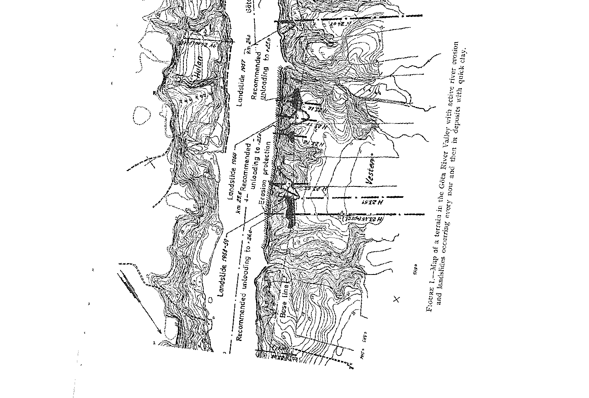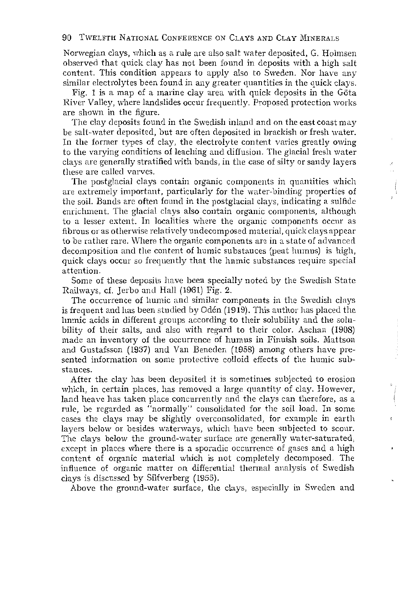Norwegian clays, which as a rule are also salt water deposited, G. Holmsen observed that quick clay has not been found in deposits with a high salt content. This condition appears to apply also to Sweden. Nor have any similar electrolytes been found in any greater quantities in the quick clays.

Fig. 1 is a map of a marine clay area with quick deposits in the Göta River Valley, where landslides occur frequently. Proposed protection works are shown in the figure.

The clay deposits found in the Swedish inland and on the east coast may be salt-water deposited, but are often deposited in brackish or fresh water. In the former types of clay, the electrolyte content varies greatly owing to the varying conditions of leaching and diffusion. The glacial fresh water clays are generally stratified with bands, in the case of silty or sandy layers these are called varves.

The postglacial clays contain organic components in quantities which are extremely important, particularly for the water-binding properties of the soil. Bands are often found in the postglacial clays, indicating a sulfide enrichment. The glacial clays also contain organic components, although to a lesser extent. In localities where the organic components occur as fibrous or as otherwise relatively undecomposed material, quick clays appear to be rather rare. \\'here the organic components are in a state of advanced decomposition and the content of humic substances (peat humus) is high, quick clays occur so frequently that the humic substances require special attention.

Some of these deposits have been specially noted by the Swedish State Railways, cf. Jerbo and Hall (1961) Fig. 2.

The occurrence of humic and similar components in the Swedish clays is frequent and has been studied by Oden (1919). This author has placed the humic acids in different groups according to their solubility and the solubility of their salts, and also with regard to their color. Aschan (1908) made an inventory of the occurrence of humus in Finuish soils. Mattson and Gustafsson (1937) and Van Beneden (1958) among others have presented information on some protective colloid effects of the humic substances.

After the clay has been deposited it is sometimes subjected to erosion which, in certain places, has removed a large quantity of clay. However, land heave has taken place concurrently and the clays can therefore, as a rule, be regarded as "normally" consolidated for the soil load. In some cases the clays may be slightly overconsolidated, for example in earth layers below or besides waterways, which have been subjected to scour. The clays below the ground-water surface are generally water-saturated, except in places where there is a sporadic occurrence of gases and a high content of organic material which is not completely decomposed. The influence of organic matter on differential thermal analysis of Swedish clays is discussed by Silfverberg (1955).

Above the ground-water surface, the clays, especially in Sweden and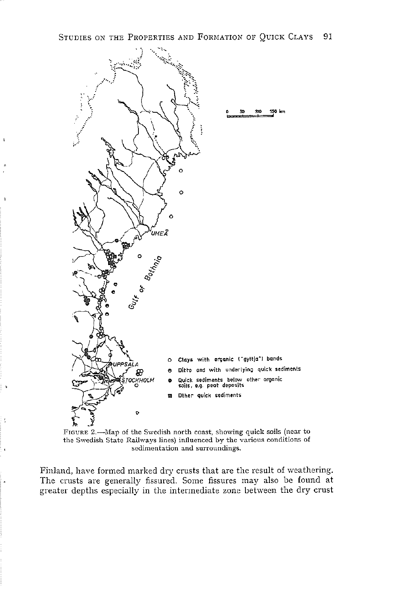

FIGURE 2.- Map of the Swedish north coast, showing quick soils (near to the Swedish State Railways lines) influenced by the various conditions of sedimentation and surroundings.

Finland, have formed marked dry crusts that are the result of weathering. The crusts are generally fissured. Some fissures may also be found at greater depths especially in the intermediate zone between the dry crust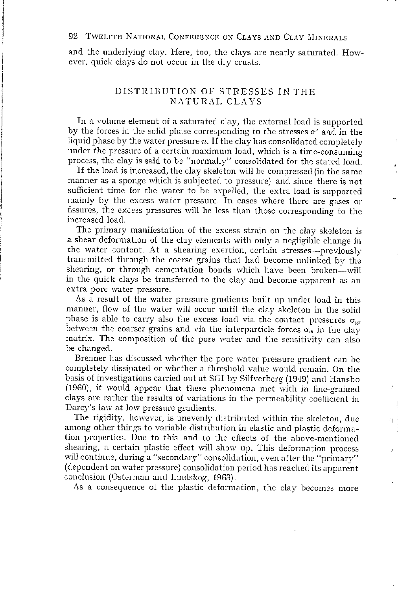and the underlying clay. Here, too, the clays are nearly saturated. However, quick clays do not occur in the dry crusts.

## DISTRIBUTION OF STRESSES IN THE NATURAL CLAYS

In a volume element of a saturated clay, the external load is supported by the forces in the solid phase corresponding to the stresses *er'* and in the liquid phase by the water pressure  $u$ . If the clay has consolidated completely under the pressure of a certain maximum load, which is a time-consuming process, the clay is said to be "normally" consolidated for the stated load.

 $\bar{u}$ 

P.

If the load is increased, the clay skeleton will be compressed (in the same manner as a sponge which is subjected to pressure) and since there is not sufficient time for the water to be expelled, the extra load is supported mainly by the excess water pressure. In cases where there arc gases or fissures, the excess pressures will be less than those corresponding to the increased load.

The primary manifestation of the excess strain on the clay skeleton is a shear deformation of the clay elements with only a negligible change in the water content. At a shearing exertion, certain stresses—previously transmitted through the coarse grains that had become unlinked by the shearing, or through cementation bonds which have been broken-will in the quick clays be transferred to the clay and become apparent as an extra pore water pressure.

As a result of the water pressure gradients built up under load in this manner, flow of the water will occur until the clay skeleton in the solid phase is able to carry also the excess load via the contact pressures  $\sigma_{er}$ between the coarser grains and via the interparticle forces  $\sigma_m$  in the clay matrix. The composition of the pore water and the sensitivity can also be changed.

Brenner has discussed whether the pore water pressure gradient can be completely dissipated or whether a threshold value would remain. On the basis of investigations carried out at SGI by Silfverbcrg {1949) and Hansbo {1960), it would appear that these phenomena met with in fine-grained clays are rather the results of variations in the permeability coefficient in Darcy's law at low pressure gradients.

The rigidity, however, is unevenly distributed within the skeleton, due among other things to variable distribution in elastic and plastic deformation properties. Due to this and to the effects of the above-mentioned shearing, a certain plastic effect will show up. This deformation process will continue, during a "secondary" consolidation, even after the "primary" {dependent on water pressure) consolidation period has reached its apparent conclusion (Osterman and Lindskog, 1963).

As a consequence of the plastic deformation, the clay becomes more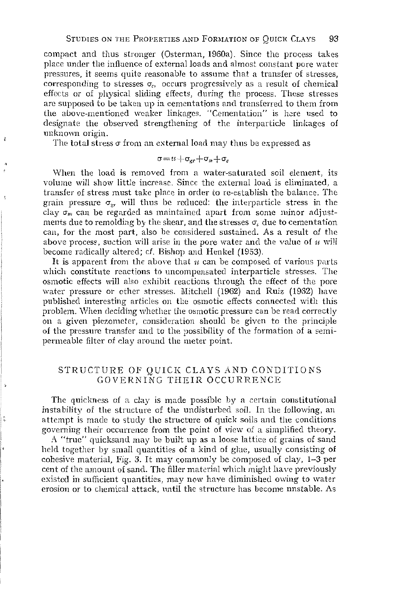compact and thus stronger (Osterman, 1960a). Since the process takes place under the influence of external loads and almost constant pore water pressures, it seems quite reasonable *to* assume that a transfer of stresses, corresponding to stresses  $\sigma_c$ , occurs progressively as a result of chemical effects or of physical sliding effects, during the process. These stresses are supposed *to* be taken up in cementations and transferred to them from the above-mentioned weaker linkages. "Cementation" is here used to designate the observed strengthening of the interparticle linkages of unknown origin.

The total stress  $\sigma$  from an external load may thus be expressed as

$$
\sigma = u + \sigma_{\rm gr} + \sigma_m + \sigma_c
$$

\Vhen the load is removed from a water-saturated soil element, its volume will show little increase. Since the external load is eliminated, a transfer of stress must take place in order *to* re-establish the balance. The grain pressure  $\sigma_{\rm cr}$  will thus be reduced: the interparticle stress in the clay  $\sigma_m$  can be regarded as maintained apart from some minor adjustments due to remolding by the shear, and the stresses  $\sigma_{\epsilon}$  due to cementation can, for the most part, also be considered sustained. As a result of the above process, suction will arise in the pore water and the value of *u* will become radically altered; cf. Bishop and Henkel (1953).

It is apparent from the above that  $u$  can be composed of various parts which constitute reactions to uncompensated interparticle stresses. The osmotic effects will also exhibit reactions through the effect of the pore water pressure or other stresses. Mitchell (1962) and Ruiz (1962) have published interesting articles on the osmotic effects connected with this problem. \Vhen deciding whether the osmotic pressure can be read correctly on a given piezometer, consideration should be given to the principle of the pressure transfer and to the possibility of the formation of a semipermeable filter of clay around the meter point.

## STRUCTURE OF QUICK CLAYS AND CONDITIONS GOVERNING THEIR OCCURRENCE

The quickness of a clay is made possible by a certain constitutional instability of the structure of the undisturbed soil. In the following, an attempt is made to study the structure of quick soils and the conditions governing their occurrence from the point of view of a simplified theory.

A "true" quicksand may be built up as a loose lattice of grains of sand held together by small quantities of a kind of glue, usually consisting of cohesive material, Fig. 3. It may commonly be composed of clay, 1-3 per cent of the amount of sand. The filler material which might have previously existed in sufficient quantities, may now have diminished owing to water erosion or to chemical attack, until the structure has become unstable. As

I'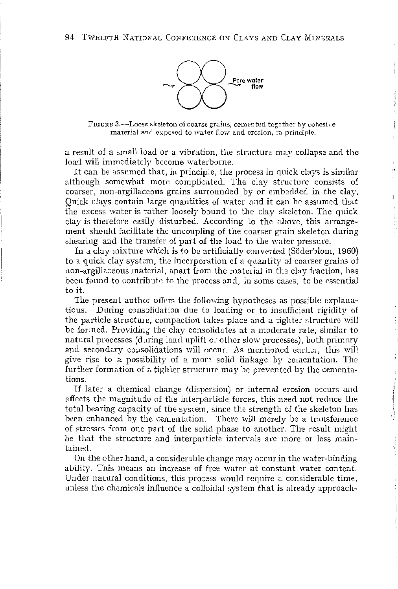

FIGURE 3.-Loose skeleton of coarse grains, cemented together by cohesive material and exposed to water flow and erosion, in principle.

 $\langle\,\rangle$ 

 $\cdot$  3

a result of a small load or a vibration, the structure may collapse and the load will immediately become waterborne.

It can be assumed that, in principle, the process in quick clays is similar although somewhat more complicated. The clay structure consists of coarser, non-argillaceous grains surrounded by or embedded in the clay. Quick clays contain large quantities of water and it can be assumed that the excess water is rather loosely bound to the clay skeleton. The quick clay is therefore easily disturbed. According to the above, this arrangement should facilitate the uncoupling of the coarser grain skeleton during shearing and the transfer of part of the load to the water pressure.

In a clay mixture which is to be artificially converted (Söderblom, 1960) to a quick clay system, the incorporation of a quantity of coarser grains of non-argillaceous material, apart from the materia] in the clay fraction, has been found to contribute to the process and, in some cases, to be essential to it.

The present author offers the following hypotheses as possible explanatious. During consolidation due to loading or to insufficient rigidity of the particle structure, compaction takes place and a tighter structure will be formed. Providing the clay consolidates at a moderate rate, similar to natural processes (during land uplift or other slow processes), both primary and secondary consolidations will occur. As mentioned earlier, this will give rise to a possibility of a more solid linkage by cementation. The further formation of a tighter structure may be prevented by the cementations.

If later a chemical change (dispersion) or internal erosion occurs and effects the magnitude of the interparticle forces, this need not reduce the total bearing capacity of the system, since the strength of the skeleton has been enhanced by the cementation. There will merely be a transference of stresses from one part of the solid phase to another. The result might be that the structure and interparticle intervals are more or less maintained.

On the other hand, a considerable change may occur in the water-binding ability. This means an increase of free water at constant water content. Under natural conditions, this process would require a considerable time, unless the chemicals influence a colloidal system that is already approach-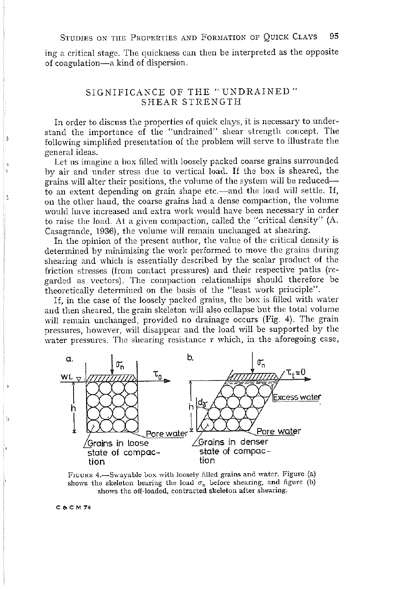## STUDIES ON THE PROPERTIES AND FORMATION OF QUICK CLAYS 95

ing a critical stage. The quickness can then be interpreted as the opposite of coagulation-a kind of dispersion.

## SIGNIFICANCE OF THE "UNDRAINED" SHEAR STRENGTH

In order to discuss the properties of quick clays, it is necessary to understand the importance of the "undraincd" shear strength concept. The following simplified presentation of the problem will serve to illustrate the general ideas.

Let us imagine a box filled with loosely packed coarse grains surrounded by air and under stress due to vertical load. If the box is sheared, the grains will alter their positions, the volume of the system will be reducedto an extent depending on grain shape etc.-and the load will settle. If, on the other hand, the coarse grains had a dense compaction, the volume would have increased and extra work would have been necessary in order to raise the load. At a given compaction, called the "critical density" (A. Casagrande, 1936), the volume will remain unchanged at shearing.

In the opinion of the present author, the value of the critical density is determined by minimizing the work performed to move the grains during shearing and which is essentially described by the scalar product of the friction stresses (from contact pressures) and their respective paths (regarded as vectors). The compaction relationships should therefore be theoretically determined on the basis of the "least work principle".

If, in the case of the loosely packed grains, the box is filled with water and then sheared, the grain skeleton will also collapse but the total volume will remain unchanged, provided no drainage occurs (Fig. 4). The grain pressures, however, will disappear and the load will be supported by the water pressures. The shearing resistance *r* which, in the aforegoing case,



FIGURE 4.-Swayable box with loosely filled grains and water. Figure (a) shows the skeleton bearing the load  $\sigma_n$  before shearing, and figure (b) shows the off~loaded, contracted skeleton after shearing.

C 8:C M 7\*

à.

ţ,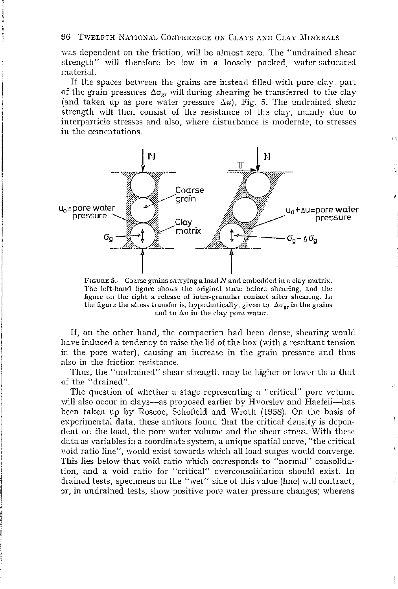was dependent on the friction, will be almost zero. The "undrained shear strength" will therefore be low in a loosely packed, water-saturated material.

If the spaces between the grains are instead filled with pure clay, part of the grain pressures  $\Delta\sigma_{\rm gr}$  will during shearing be transferred to the clay (and taken up as pore water pressure  $\Delta u$ ), Fig. 5. The undrained shear strength will then consist of the resistance of the clay, mainly due to interparticle stresses and also, where disturbance is moderate, to stresses in the cementations.

 $\pm$   $\frac{2}{3}$ 



FIGURE 5.-Coarsc grains carrying a load *N* and embedded in a clay matrix. The left-hand figure shows the original state before shearing, and the figure on the right a release of inter-granular contact after shearing. ln the figure the stress transfer is, hypothetically, given to  $\Delta \sigma_{\text{gr}}$  in the grains and to  $\Delta u$  in the clay pore water.

If, on the other hand, the compaction had been dense, shearing would have induced a tendency to raise the lid of the box (with a resultant tension in the pore water), causing an increase in the grain pressure and thus also in the friction resistance.

Thus, the "undrained" shear strength may be higher or lower than that of the "drained".

The question of whether a stage representing a "critical" pore volume will also occur in clays—as proposed earlier by Hvorslev and Haefeli—has been taken up by Roscoe, Schofield and Wroth (1958). On the basis of experimental data, these anthors found that the critical density is dependent on the load, the pore water volume and the shear stress. With these data as variables in a coordinate system, a unique spatial curve, "the critical void ratio line", would exist towards which all load stages would converge. This lies below that void ratio which corresponds to "normal" consolidation, and a void ratio for "critical" overconsolidation should exist. In drained tests, specimens on the "wet" side of this value (line) will contract, or, in undrained tests, show positive pore water pressure changes; whereas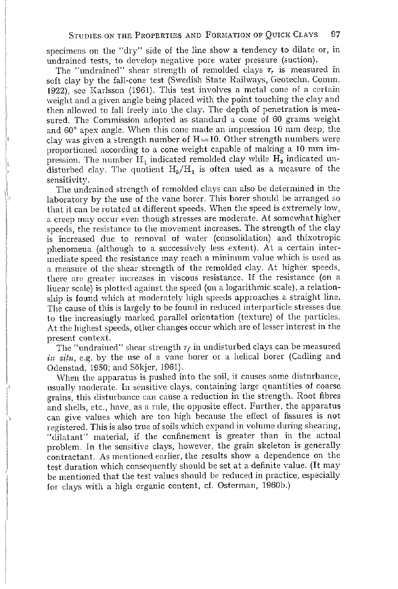specimens on the "dry" side of the line show a tendency to dilate or, in undrained tests, to develop negative pore water pressure (suction).

The "undrained" shear strength of remolded clays *r,* is measured in soft clay by the fall-cone test (Swedish State Railways, Geotechn. Comm. 1922), see Karlsson (1961). This test involves a metal cone of a certain weight and a given angle being placed with the point touching the clay and then allowed to fall freely into the clay. The depth of penetration is measured. The Commission adopted as standard a cone of 60 grams weight and 60° apex angle. \Vhen this cone made an impression 10 mm deep, the clay was given a strength number of  $H=10$ . Other strength numbers were proportioned according to a cone weight capable of making a 10 mm impression. The number  $H_1$  indicated remolded clay while  $H_3$  indicated undisturbed clay. The quotient  $H_a/H_1$  is often used as a measure of the sensitivity.

The undrained strength of remolded clays can also be determined in the laboratory by the use of the vane borer. This borer should be arranged so that it can be rotated at different speeds. When the speed is extremely low, a creep may occur even though stresses are moderate. At somewhat higher speeds, the resistance to the movement increases. The strength of the clay is increased due to removal of water (consolidation) and thixotropic phenomena (although to a successively less extent). At a certain intermediate speed the resistance may reach a minimum value which is used as a measure of the shear strength of the remolded clay. At higher speeds, there are greater increases in viscous resistance. If the resistance (on a linear scale) is plotted against the speed (on a logarithmic scale), a relationship is found which at moderately high speeds approaches a straight line. The cause of this is largely to be found in reduced interparticle stresses due to the increasingly marked parallel orientation (texture} of the particles. At the highest speeds, other changes occur which are of lesser interest in the present context.

The "undrained" shear strength  $\tau_f$  in undisturbed clays can be measured in situ, e.g. by the use of a vane borer or a helical borer (Cadling and Odenstad, 1950; and Sökjer, 1961).

When the apparatus is pushed into the soil, it causes some distnrbance, usually moderate. In sensitive clays, containing large quantities of coarse grains, this disturbance can cause a reduction in the strength. Root fibres and shells, etc., have, as a rule, the opposite effect. Further, the apparatus can give values which are too high because the effect of fissures is not registered. This is also true of soils which expand in volume during shearing, "dilatant" material, if the confinement is greater than in the actnal problem. In the sensitive clays, however, the grain skeleton is generally contractant. As mentioned earlier, the results show a dependence on the test duration which consequently should be set at a definite value. (It may be mentioned that the test values should be reduced in practice, especially for clays with a high organic content, cf. Osterman, 1960b.)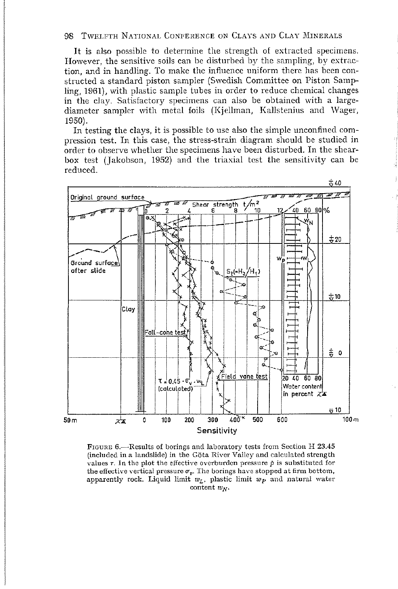It is also possible to determine the strength of extracted specimens. However, the sensitive soils can be disturbed by the sampling, by extraction, and in handling. To make the influence uniform there has been constructed a standard piston sampler (Swedish Committee on Piston Sampling, 1961), with plastic sample tubes in order to reduce chemical changes in the clay. Satisfactory specimens can also be obtained with a largediameter sampler with metal foils (Kjellman, Kallstenius and Wager,  $1950.$ 

In testing the clays, it is possible to use also the simple unconfined compression test. In this case, the stress-strain diagram should be studied in order to observe whether the specimens have been disturbed. In the shearbox test (Jakobson, 1952) and the triaxial test the sensitivity can be reduced.



FIGURE 6.-Results of borings and laboratory tests from Section H 23.45 (included in a landslide) in the Göta River Valley and calculated strength values  $\tau$ . In the plot the effective overburden pressure  $\rho$  is substituted for the effective vertical pressure  $\sigma_{\nu}$ . The borings have stopped at firm bottom, apparently rock. Liquid limit  $w_L$ , plastic limit  $w_P$  and natural water content  $w_N$ .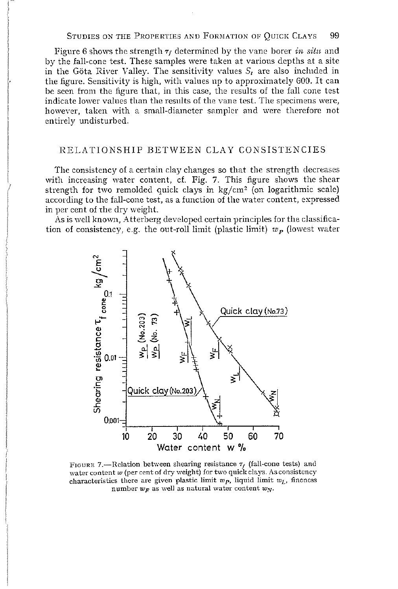## STUDIES ON THE PROPERTIES AND FORMATION OF QUICK CLAYS 99

Figure 6 shows the strength *Tf* determined by the vane borer *in sitn* and by the fall-cone test. These samples were taken at various depths at a site in the Göta River Valley. The sensitivity values  $S_t$  are also included in the figure. Sensitivity is high, with values up to approximately 600. It can be seen from the figure that, in this case, the results of the fall cone test indicate lower values than the results of the vane test. The specimens were, however, taken with a small-diameter sampler and were therefore not entirely undisturbed.

#### RELATIONSHIP BETWEEN CLAY CONSISTENCIES

The consistency of a certain clay changes so that the strength decreases with increasing water content, cf. Fig. 7. This figure shows the shear strength for two remolded quick clays in  $kg/cm<sup>2</sup>$  (on logarithmic scale) according to the fall-cone test, as a function of the water content, expressed in per cent of the dry weight.

As is well known, Atterberg developed certain principles for the classification of consistency, e.g. the out-roll limit (plastic limit)  $w_p$  (lowest water



FIGURE 7.-Relation between shearing resistance  $\tau_f$  (fall-cone tests) and water content *w* (per cent of dry weight) for two quick clays. As consistency characteristics there are given plastic limit  $w_P$ , liquid limit  $w_L$ , fineness number  $w_F$  as well as natural water content  $w_N$ .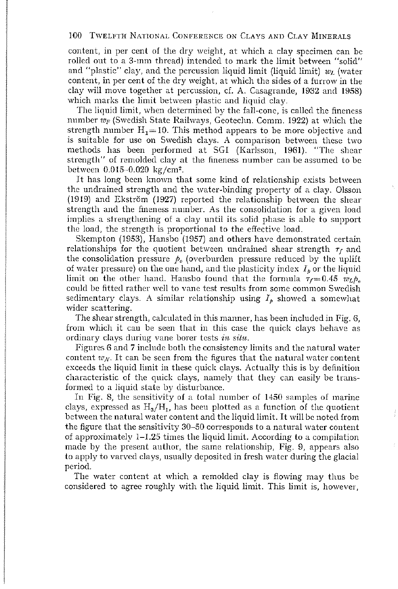content, in per cent of the dry weight, at which a clay specimen can be rolled out to a 3-mm thread) intended to mark the limit between "solid" and "plastic" clay, and the percussion liquid limit (liquid limit) *WL* (water content, in per cent of the dry weight, at which the sides of a furrow in the clay will move together at percussion, cf. A. Casagrande, 1932 and 1958) which marks the limit between plastic and liquid clay.

The liquid limit, when determined by the fall-cone, is called the fineness number  $w_F$  (Swedish State Railways, Geotechn. Comm. 1922) at which the strength number  $H_1 = 10$ . This method appears to be more objective and is suitable for use on Swedish clays. A comparison between these two methods has been performed at SGI (Karlsson, 1961). "The shear strength" of remolded clay at the fineness number can be assumed to be between 0.015--0.020 kg/cm'.

It has long been known that some kind of relationship exists between the undrained strength and the water-binding property of a clay. Olsson (1919) and Ekstrom (1927) reported the relationship between the shear strength and the fineness number. As the consolidation for a given load implies a strengthening of a clay until its solid phase is able to support the load, the strength is proportional to the effective load.

Skempton (1953), Hansbo (1957) and others have demonstrated certain relationships for the quotient between nndrained shear strength *Tr* and the consolidation pressure  $p_0$  (overburden pressure reduced by the uplift of water pressure) on the one hand, and the plasticity index  $I_{\theta}$  or the liquid limit on the other hand. Hansbo found that the formula  $\tau_f=0.45$   $w_L p_o$ could be fitted rather wcH to vane test results from some common Swedish sedimentary clays. A similar relationship using  $I_p$  showed a somewhat wider scattering,

The shear strength, calculated in this manner, has been included in Fig. 6, from which it can be seen that in this case the quick clays behave as ordinary clays during vane borer tests *in situ.* 

Figures G and 7 include both the consistency limits and the natural water content  $w_N$ . It can be seen from the figures that the natural water content exceeds the liquid limit in these quick clays. Actually this is by definition characteristic of the quick clays, namely that they can easily be transformed to a liquid state by disturbance.

In Fig. 8, the sensitivity of a total number of  $1450$  samples of marine clays, expressed as  $H_3/H_1$ , has been plotted as a function of the quotient between the natural water content and the liquid limit. It will be noted from the figure that the sensitivity 30-50 corresponds to a natural water content of approximately 1-1.25 times the liquid limit. According to a compilation made by the present author, the same relationship, Fig. 9, appears also to apply to varved clays, usually deposited in fresh water during the glacial period.

The water content at which a remolded clay is flowing may thus be considered to agree roughly with the liquid limit. This limit is, however,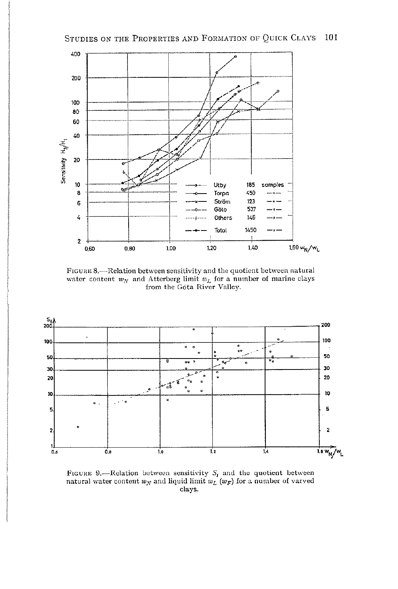

FIGURE 8.-Relation between sensitivity and the quotient between natural water content  $w_N$  and Atterberg limit  $w_L$  for a number of marine clays from the Gota River Valley.



FIGURE 9.—Relation between sensitivity  $S_t$  and the quotient between natural water content  $w_N$  and liquid limit  $w_L(w_F)$  for a number of varved clays.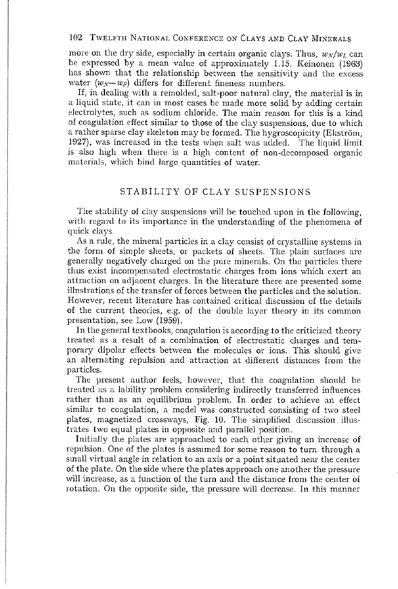more on the dry side, especially in certain organic clays. Thus,  $w_N/w_L$  can be expressed by a mean value of approximately I.IS. Keinonen (1963) has shown that the relationship between the sensitivity and the excess water  $(w_N-w_F)$  differs for different fineness numbers.

If, in dealing with a remolded, salt-poor natural clay, the material is in a liquid state, it can in most cases be made more solid by adding certain electrolytes, such as sodium chloride. The main reason for this is a kind of coagulation effect similar to those of the clay suspensions, due to which a rather sparse clay skeleton may be formed. The hygroscopicity (Ekström, 1927), was increased in the tests when salt was added. The liquid limit is also high when there is a high content of non-decomposed organic materials, which bind large quantities of water.

### STABILITY OF CLAY SUSPENSIONS

The stability of clay suspensions will be touched upon in the following, with regard to its importance in the understanding of the phenomena of quick clays.

As a rule, the mineral particles in a clay consist of crystalline systems in the form of simple sheets, or packets of sheets. The plain surfaces are generally negatively charged on the pure minerals. On the particles there thus exist incompensated electrostatic charges from ions which exert an attraction on adjacent charges. In the literature there are presented some illnstrations of the transfer of forces between the particles and the solution. However, recent literature has contained critical discussion of the details of the current theories, e.g. of the double layer theory in its common presentation, see Low (1959).

In the general textbooks, coagulation is according to the criticized theory treated as a result of a combination of electrostatic charges and temporary dipolar effects between the molecules or ions. This should give an alternating repulsion and attraction at different distances from the particles.

The present author feels, however, that the coagulation should be treated as a !ability problem considering indirectly transferred influences rather than as an equilibrium problem. In order to achieve an effect similar to coagulation, a model was constructed consisting of two steel plates, magnetized crossways, Fig. 10. The simplified discussion illustrates two equal plates in opposite and parallel position.

Initially the plates are approached to each other giving an increase of repulsion. One of the plates is assumed for some reason to turn through a small virtual angle in relation to an axis or a point situated near the center of the plate. On the side where the plates approach one another the pressure will increase, as a function of the tum and the distance from the center of rotation. On the opposite side, the pressure will decrease. In this manner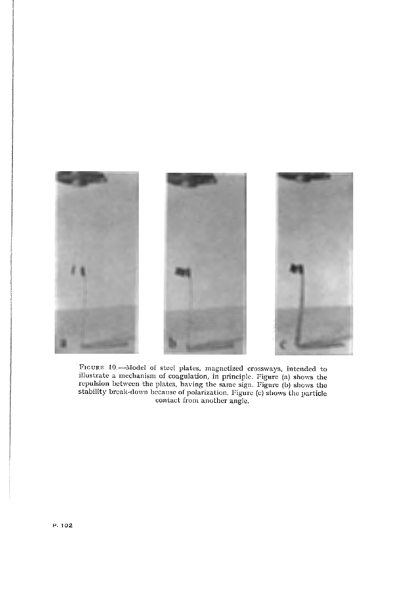

FIGURE 10.-Model of steel plates, magnetized crossways, intended to illustrate a mechanism of coagulation, in principle. Figure (a) shows the repulsion between the plates, having the same sign. Figure (b) shows the stability break-down because of polarization. Figure (c} shows the particle contact from another angle.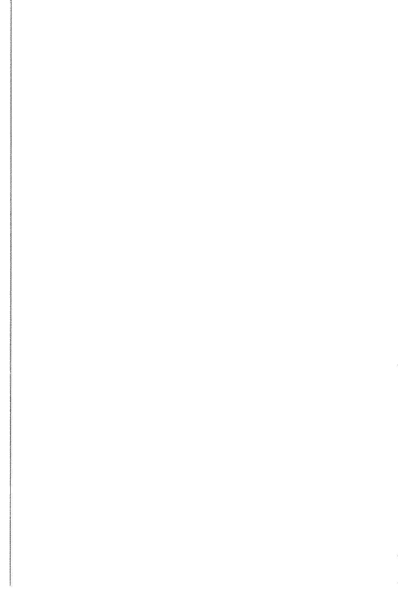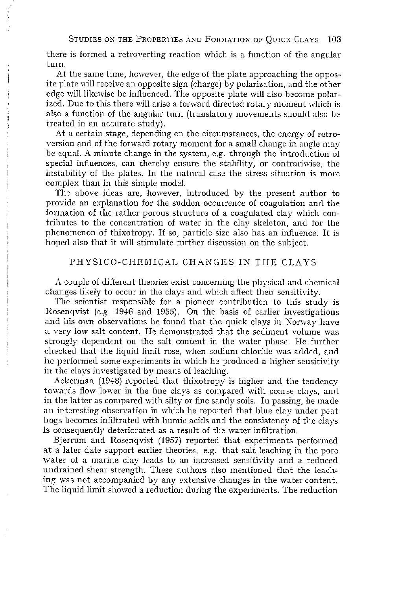there is formed a retroverting reaction which is a function of the angular turn.

At the same time, however, the edge of the plate approaching the opposite plate will receive an opposite sign (charge) by polarization, and the other edge will likewise be influenced. The opposite plate will also become polarized. Due to this there will arise a forward directed rotary moment which is also a function of the angular turn (translatory movements should also be treated in an accurate study).

At a certain stage, depending on the circumstances, the energy of retroversion and of the forward rotary moment for a small change in angle may be equal. A minute change in the system, e.g. through the introduction of special influences, can thereby ensure the stability, or contrariwise, the instability of the plates. In the natural case the stress situation is more complex than in this simple model.

The above ideas are, however, introduced by the present author to provide an explanation for the sudden occurrence of coagulation and the formation of the rather porous structure of a coagulated clay which contributes to the concentration of water in the clay skeleton, and for the phenomenon of thixotropy. If so, particle size also has an influence. It is hoped also that it will stimulate turther discussion on the subject.

### PHYSICO-CHEMICAL CHANGES IN THE CLAYS

A couple of different theories exist concerning the physical and chemical changes likely to occur in the clays and which affect their sensitivity.

The scientist responsible for a pioneer contribution to this study is Rosenqvist (e.g. 1946 and 1955). On the basis of earlier investigations and his own observations he found that the quick clays in Norway have a very low salt content. He demonstrated that the sediment volume was strongly dependent on the salt content in the water phase. He further checked that the liquid limit rose, when sodium chloride was added, and he performed some experiments in which he produced a higher sensitivity in the clays investigated by means of leaching.

Ackerman (1948) reported that thixotropy is higher and the tendency towards flow lower in the fine clays as compared with coarse clays, and in the latter as compared with silty or fine sandy soils. In passing, he made an interesting observation in which he reported that blue clay under peat bogs becomes infiltrated with humic acids and the consistency of the clays is consequently deteriorated as a result of the water infiltration.

Bjerrum and Rosenqvist (1957) reported that experiments performed at a later date support earlier theories, e.g. that salt leaching in the pore water of a marine clay leads to an increased sensitivity and a reduced undrainecl shear strength. These authors also mentioned that the leaching was not accompanied by any extensive changes in the water content. The liquid limit showed a reduction during the experiments. The reduction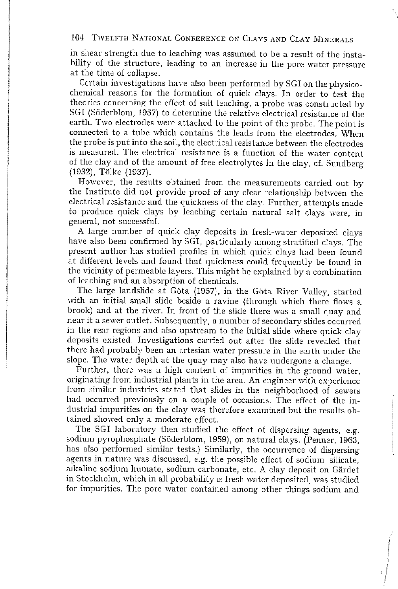in shear strength due to leaching was assumed to be a result of the instability of the structure, leading to an increase in the pore water pressure at the time of collapse.

Certain investigations have also been performed by SGI on the physicochemical reasons for the formation of quick clays. In order to test the theories concerning the effect of salt leaching, a probe was constructed by SGI (Söderblom, 1957) to determine the relative electrical resistance of the earth. Two electrodes were attached to the point of the probe. The point is connected to a tube which contains the leads from the electrodes. \Vhen the probe is put into the soil, the electrical resistance between the electrodes is measured. The electrical resistance is a function of the water content of the clay and of the amount of free electrolytes in the clay, cf. Sundberg (1932), Tolke (1937).

However, the results obtained from the measurements carried out by the Institute did not provide proof of any clear relationship between the electrical resistance and the quickness of the clay. Further, attempts made to produce quick clays by leaching certain natural salt clays were, in general, not successful.

A large number of quick clay deposits in fresh-water deposited clays have also been confirmed by SGI, particularly among stratified clays, The present author has studied profiles in which quick clays had been found at different levels and found that quickness could frequently be found in the vicinity of permeable layers. This might be explained by a combination of leaching and an absorption of chemicals.

The large landslide at Göta (1957), in the Göta River Valley, started with an initial small slide beside a ravine (through which there flows a brook) and at the river. In front of the slide there was a small quay and near it a sewer outlet. Subsequently, a number of secondary slides occurred in the rear regions and also upstream to the initial slide where quick clay deposits existed. Investigations carried out after the slide revealed that there had probably been an artesian water pressure in the earth under the slope. The water depth at the quay may also have undergone a change.

Further, there was a high content of impurities in the ground water, originating from industrial plants in the area. An engineer with experience from similar industries stated that slides in the neighborhood of sewers had occurred previously on a couple of occasions. The effect of the industrial impurities on the clay was therefore examined but the results obtained showed only a moderate effect.

The SGI laboratory then studied the effect of dispersing agents, e.g. sodium pyrophosphate (Soderblom, 1959), on natural clays. (Penner, 1963, has also performed similar tests.) Similarly, the occurrence of dispersing agents in nature was discussed, e.g. the possible effect of sodium silicate, alkaline sodium humate, sodium carbonate, etc. A clay deposit on Gardet in Stockholm, which in all probability is fresh water deposited, was studied for impurities. The pore water contained among other things sodium and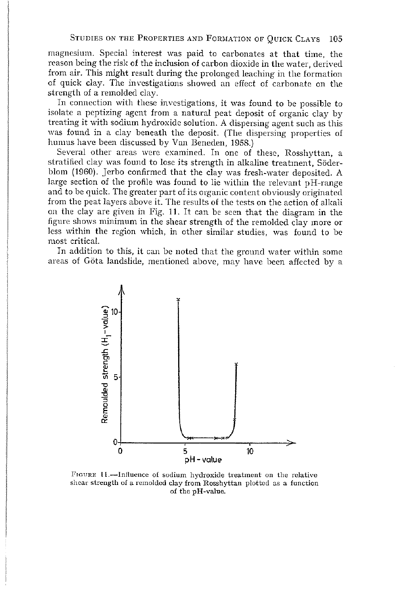magnesium. Special interest was paid to carbonates at that time, the reason being the risk of the inclusion of carbon dioxide in the water, derived from air. This might result during the prolonged leaching in the formation of quick clay. The investigations showed an effect of carbonate on the strength of a remolded clay.

In connection with these investigations, it was found to be possible to isolate a peptizing agent from a natural peat deposit of organic clay by treating it with sodium hydroxide solution. A dispersing agent such as this was found in a clay beneath the deposit. (The dispersing properties of humus have been discussed by Van Beneden, 1958.)

Several other areas were examined. In one of these, Rosshyttan, a stratified clay was found to lose its strength in alkaline treatment, Söderblom (1960). Jerbo confirmed that the clay was fresh-water deposited. A large section of the profile was found to lie within the relevant pH-range and to be quick. The greater part of its organic content obviously originated from the peat layers above it. The results of the tests on the action of alkali on the clay are given in Fig. 11. It can be seen that the diagram in the figure shows minimum in the shear strength of the remolded clay more or less within the region which, in other similar studies, was found to be most critical.

In addition to this, it can be noted that the ground water within some areas of G6ta landslide, mentioned above, may have been affected by a



FIGURE 11.-Influence of sodium hydroxide treatment on the relative shear strength of a rcmoldcd clay from Rosshyttan plotted as a function of the pH-value.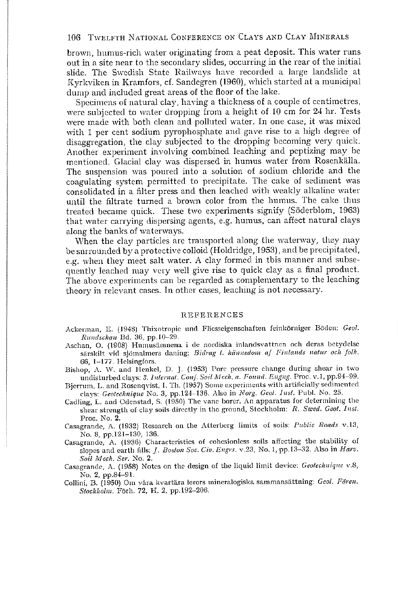brown, humus-rich water originating from a peat deposit. This water runs out in a site near to the secondary slides, occurring in the rear of the initial slide. The Swedish State Railways have recorded a large landslide at Kyrkviken in Kramfors, cf. Sandegren (1960), which started at a municipal dump and included great areas of the floor of the lake.

Specimens of natural clay, having a thickness of a couple of centimetres, were subjected to water dropping from a height of 10 cm for 24 hr. Tests were made with both clean and polluted water. In one case, it was mixed with I per cent sodium pyrophosphate and gave rise to a high degree of disaggregation, the clay subjected to the dropping becoming very quick. Another experiment involving combined leaching and peptizing may be mentioned. Glacial clay was dispersed in humus water from Rosenkälla. The suspension was poured into a solution of sodium chloride and the coagulating system permitted to precipitate. The cake of sediment was consolidated in a filter press and then leached with weakly alkaline water until the filtrate turned a brown color from the humus. The cake thus treated became quick. These two experiments signify (Söderblom, 1963) that water carrying dispersing agents, e.g. humus, can affect natural clays along the banks of waterways.

When the clay particles are trausported along the waterway, they may be surrounded by a protective colloid (Holdridge, 1953), and be precipitated, e.g. when they meet salt water. A clay formed in this manner and subsequently leached may very well give rise to quick clay as a final product. The above experiments can be regarded as complementary to the leaching theory in relevant cases. In other cases, leaching is not necessary.

#### REFERENCES

- Ackerman, E. (1948) Thixotropie und Fliesseigenschaften feinkörniger Böden: Geol. *Ru11dschau* Bd. 36, pp.10-29.
- Aschan, O. (1908) Humusämnena i de nordiska inlandsvattnen och deras betydelse särskilt vid sjömalmers daning: *Bidrag t. kännedom af Finlands natur och folk.* 66, 1-177. Helsingfors.
- Bishop, A. \V. and Henkel, D. J. (1953) Pore pressure change during shear in two undisturbed clays: 3. Internat, Conf. Soil Mech. a. Found. Engng. Proc. v.1, pp.94-99.
- Bjerrum, L. and Rosenqvist, I. Th. (1957) Some experiments with artificially sedimented clays: *Geoteclmique* No. 3, pp.124-136. Also in *Norg. Ceo!. 111st.* Publ. No. 25.
- Cadling, L. and Odenstad, S. (1950) The vane borer. An apparatus for determining the shear strength of clay soils directly in the ground, Stockholm: *R. Swed. Ceo!. Inst.*  Proc. No. 2.
- Casagrande, A. (1932) Research on the Atterberg limits of soils: *Public Roads* v.13, No. 8, pp.121-130, 136.
- Casagrande, A. (1936) Characteristics of cohesionless soils affecting the stability of slopes and earth fills: *J. Boston Soc. Civ. Engrs.* v.23, No. 1, pp.13-32. Also in *Harv. Soil 111ec/z. Ser.* No. 2.
- Casagrande, A. (1958) Notes on the design of the liquid limit device: *Ceoteclmique* v.8, No. 2, pp.84-91.
- Collini, B. (1950) Om våra kvartära lerors mineralogiska sammansättning: Geol. Fören. *Stochliolm.* F6rh. 72, H. 2, pp. 192-206.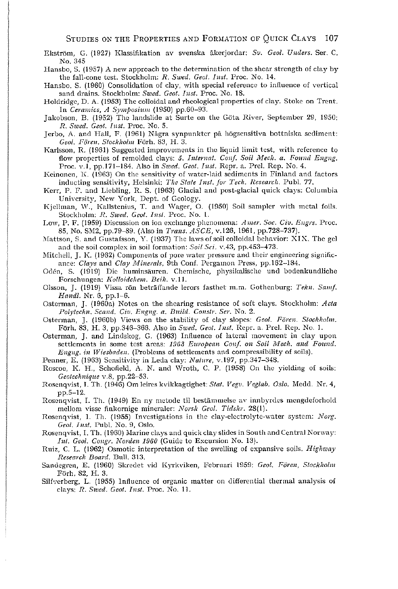Ekstrom, G. {1927) Klassifikation av svenska akerjorclar: *Sv. Geol. Unders.* Ser. C, No. 345

 Hansbo, S. (1957) A new approach to the determination of the shear strength of clay by the fall-cone test. Stockholm: *R. Swed. Geot. Inst.* Proc. No. 14.

Hansbo. S. (1960) Consolidation of clay, with special reference to infiucncc of vertical sand drains. Stockholm: *Swed. Geot. Inst.* Proc. No. 18.

Holdridge, D. A. (1953) The colloidal and rheological properties of clay. Stoke on Trent. In *Ceramics, A Symposium* (1950) pp.60-93.

Jakobson, B. (1952) The landslide at Surte on the Göta River, September 29, 1950: *R. Swed. Geot. 111st.* Proc. No. 5.

Jerbo, A. and Hall, F. (1961) Några synpunkter på högsensitiva bottniska sediment: *Geol. FOren. Stocldwlm* F6rh. 83, H. 3.

Karlsson, R. (1961) Suggested improvements in the liquid limit test, with reference to flow properties of remolded clays: 5. Internal. Conf. Soil Mech. a. Found Engng. Proc. v.l, pp.171-184. Also in *Swed. Geot. Inst.* Repr. a. Prel. Rep. No. 4.

Keinonen, K. (1963) On the sensitivity of water-laid sediments in Finland and factors inducting sensitivity, Helsinki: *The Slate Inst. for Tech. Research.* Publ. 77.

Kerr, P. F. and Liebling, R. S. (1963) Glacial and post-glacial quick clays: Columbia University, New York, Dept. of Geology.

Kjellman, \V., Kallstenius, T. and Wager, 0. (1950) Soil sampler with metal foils. Stockholm: *R. Swed. Geot. Inst.* Proc. No. I.

Low, P. F. (1959) Discussion on ion exchange phenomena: Amer. Soc. Civ. *Engrs.* Proc. 85, No. SM2, pp.79-89. (Also in *Trans.* A.SCE, v.126, 1961, pp.728-737).

Mattson, S. and Gustafsson, Y. (1937) The laws of soil colloidal behavior: XIX. The gel and the soil complex in soil formation: *Soil Sci.* v.43, pp.453-473.

Mitchell, J. K. (1962) Components of pore water pressure and their engineering significance: *Clays* and *Clay Minerals*, 9th Conf. Pergamon Press, pp.162-184.

Odén, S. (1919) Die huminsäuren. Chemische, physikalische und bodenkundliche Forschungen: *Kolloidchem. Beih.* v.11.

Olsson, J. (1919) Vissa rön beträffande lerors fasthet m.m. Gothenburg: Tekn. Samf. *Haudl.* Nr. 6, pp.1-6.

Osterman, J. (1960a) Notes on the shearing resistance of soft clays. Stockholm: *Acta Polytecllll. Scand. Civ. E11gng. a. Build. Constr. Ser.* No. 2.

Osterman, J. (1960b) Views on the stability of clay slopes: Geol. Fören. Stockholm. FOrh. 83, H. 3, pp.346-366. Also in *Swed. Geot. Inst.* Repr. a. Pre!. Rep. No. I.

Osterman, J. and Lindskog, G. (1963) Influence of lateral movement in clay upon settlements in some test areas: 1963 European Conf. on Soil Mech. and Found. *Engng. in Wiesbaden.* (Problems of settlements and compressibility of soils).

Penner, E. (1963) Sensitivity in Leda clay: *Nature,* v.197, pp.347-348.

Roscoe, K H., Schofield, A. N. and Wroth, C. P. (1958) On the yielding of soils: *Geoteclmique* v.8, pp.22-53.

Rosenqvist, I. Th. (1946) Om leires kvikkagtighet: *Stal. Vegv. Veglab. Oslo.* Medel. Nr. 4, pp.5-12.

Rosenqvist, I. Th. (1949) En ny metode til bestämmelse av innbyrdes mengdeforhold mellom visse finkornige mineraler: *Norsk Geol. Tidskr.* 28(1).

Rosenqvist, I. Th. (1955) Investigations in the clay-electrolyte-water system: *Norg*. *Geol. 111st.* PubL No. 9, Oslo.

Rosenqvist, I. Th. (1960) Marine clays and quick clay slides in South and Central Norway: *Int. Geol. Congr. Norden 1960* (Guide to Excursion No. 13).

Ruiz, C. L. (1962) Osmotic interpretation of the swelling of expansive soils. *Highway Research Board.* Bull. 313.

Sandegren, E. (1960) Skredet vid Kyrkviken, Februari 1959: Geol. Fören, Stockholm Förh, 82, H. 3.

Silfverberg, L. (1955) Influence of organic matter on differential thermal analysis of clays: *R. Swed. Geot. Inst.* Proc. No. 11.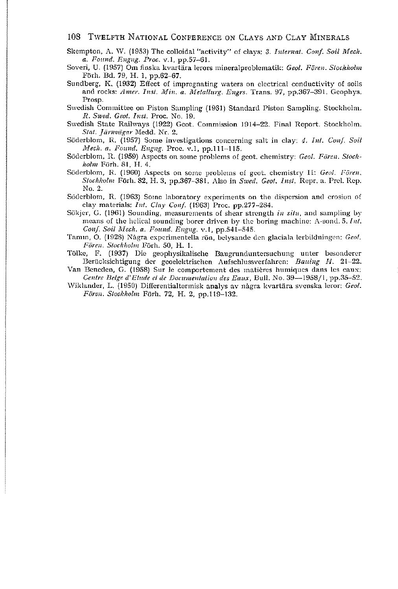- Skempton, A. W. (1953) The colloidal "activity" of clays: 3. Internat. Conf. Soil Mech. *a. Found. Engng. Proc.* v.1, pp.57-61.
- Soveri, U. (1957) Om finska kvartära lerors mineralproblematik: Geol. Fören. Stockholm Förh. Bd. 79, H. 1, pp.62-67.
- Sundberg, K. (1932) Effect of impregnating waters on electrical conductivity of soils and rocks: Amer. Inst. Min. a. *Metallurg. Engrs*. Trans. 97, pp.367-391. Geophys. Prosp.
- Swedish Committee on Piston Sampling (1961) Standard Piston Sampling. Stockholm. *R. Swed. Geol. 111st.* Proc. No. 19.
- Swedish State Railways (1922) Geot. Commission 1914-22. Final Report. Stockholm. Stat. Järnvägar Medd. Nr. 2.
- Söderblom, R. (1957) Some investigations concerning salt in clay: 4. Int. Conf. Soil *111eclt. a. Found. E11gng.* Proc. v.l, pp.111~115.
- Söderblom, R. (1959) Aspects on some problems of geot. chemistry: *Geol. Fören. Stockholm* Förh. 81, H. 4.
- Söderblom, R. (1960) Aspects on some problems of *geot. chemistry II: Geol. Fören. Stocltlwlm* FOrh. 82, H. 3, pp.367-381. Also in *Swed. Geot. lust.* Repr. a. Prcl. Rep. No. 2.
- Söderblom, R. (1963) Some laboratory experiments on the dispersion and erosion of clay materials: *Int. Clay Conf.* (1963) Proc. pp.277-284.
- Sökjer, G. (1961) Sounding, measurements of shear strength *in situ*, and sampling by means of the helical sounding borer driven by the boring machine: A-sond. 5. *1ut. Couf. Soil Mech. a. Found. Eugng.* v.1, pp.541-545.
- Tamm, O. (1928) Några experimentella rön, belysande den glaciala lerbildningen: *Geol. Fiiren. S!ucldwlm* FOrh. 50, H. l.
- Tölke, F. (1937) Die geophysikalische Baugrunduntersuchung unter besonderer Beriicksichtigung der geoelektrischcn Aufschlussvcrfahrcn: *Bauing H.* 21-22.
- Van Beneden, G. (1958) Sur le comportement des matières humiques dans les eaux; *Cmtn- Beige d' Elude* et *de Dornmentatiou des Eau,,r,* Bull. No. 39-1958/1, pp.:JS-52.
- \Viklander, L. (1950) DHierentialtermisk analys av nagra kvart{ira svenska leror: *Ceo!. Fiiren. Stoc!dwlm* F6rh. 72, H. 2, pp.119-132.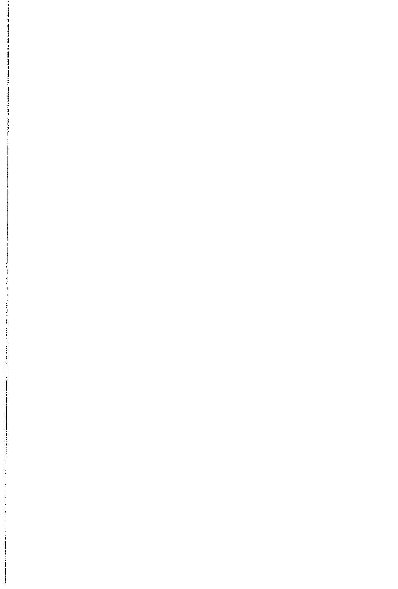